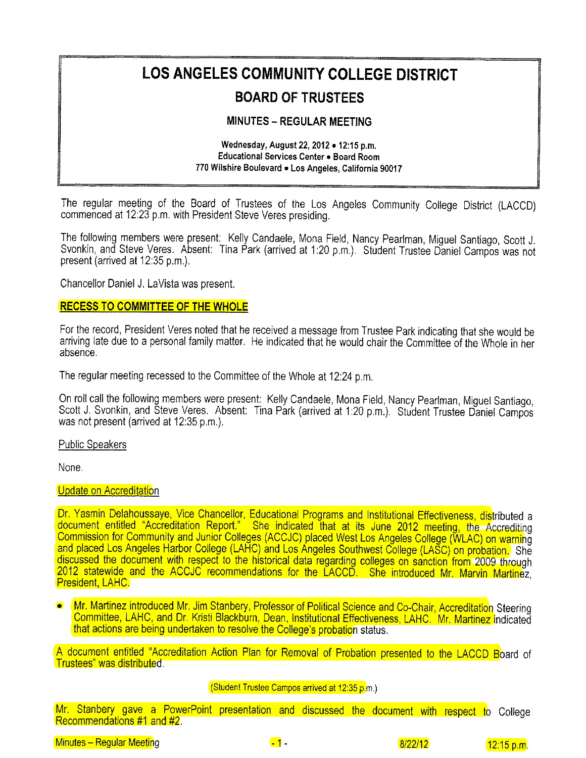# **LOS ANGELES COMMUNITY COLLEGE DISTRICT**

# **BOARD OF TRUSTEES**

# **MINUTES - REGULAR MEETING**

#### Wednesday, August 22, 2012 . 12:15 p.m. Educational Services Center . Board Room 770 Wilshire Boulevard . Los Angeles, California 90017

The regular meeting of the Board of Trustees of the Los Angeles Community College District (LACCD) commenced at 12:23 p.m. with President Steve Veres presiding.

The following members were present: Kelly Candaele, Mona Field, Nancy Pearlman, Miguel Santiago, Scott J. Svonkin, and Steve Veres. Absent: Tina Park (arrived at 1:20 p.m.). Student Trustee Daniel Campos was not present (arrived at 12:35 p.m.).

Chancellor Daniel J. LaVista was present.

# **RECESS TO COMMITTEE OF THE WHOLE**

For the record, President Veres noted that he received a message from Trustee Park indicating that she would be arriving late due to a personal family matter. He indicated that he would chair the Committee of the Whole in her absence.

The regular meeting recessed to the Committee of the Whole at 12:24 p.m.

On roll call the following members were present: Kelly Candaele, Mona Field, Nancy Pearlman, Miguel Santiago, Scott J. Svonkin, and Števe Veres. Absent: Tina Park (arrived at 1:20 p.m.). Student Trustee Daniel Campos was not present (arrived at 12:35 p.m.).

#### **Public Speakers**

None.

#### **Update on Accreditation**

Dr. Yasmin Delahoussaye, Vice Chancellor, Educational Programs and Institutional Effectiveness, distributed a document entitled "Accreditation Report." She indicated that at its June 2012 meeting, the Accrediting<br>Commission for Community and Junior Colleges (ACCJC) placed West Los Angeles College (WLAC) on warning<br>and placed Los A discussed the document with respect to the historical data regarding colleges on sanction from 2009 through<br>2012 statewide and the ACCJC recommendations for the LACCD. She introduced Mr. Marvin Martinez, President, LAHC.

Mr. Martinez introduced Mr. Jim Stanbery, Professor of Political Science and Co-Chair, Accreditation Steering Committee, LAHC, and Dr. Kristi Blackburn, Dean, Institutional Effectiveness, LAHC. Mr. Martinez indicated that actions are being undertaken to resolve the College's probation status.

A document entitled "Accreditation Action Plan for Removal of Probation presented to the LACCD Board of Trustees" was distributed.

#### (Student Trustee Campos arrived at 12:35 p.m.)

Mr. Stanbery gave a PowerPoint presentation and discussed the document with respect to College Recommendations #1 and #2

Minutes - Regular Meeting

 $-1$ 

 $8/22/12$ 

 $12:15 p.m.$